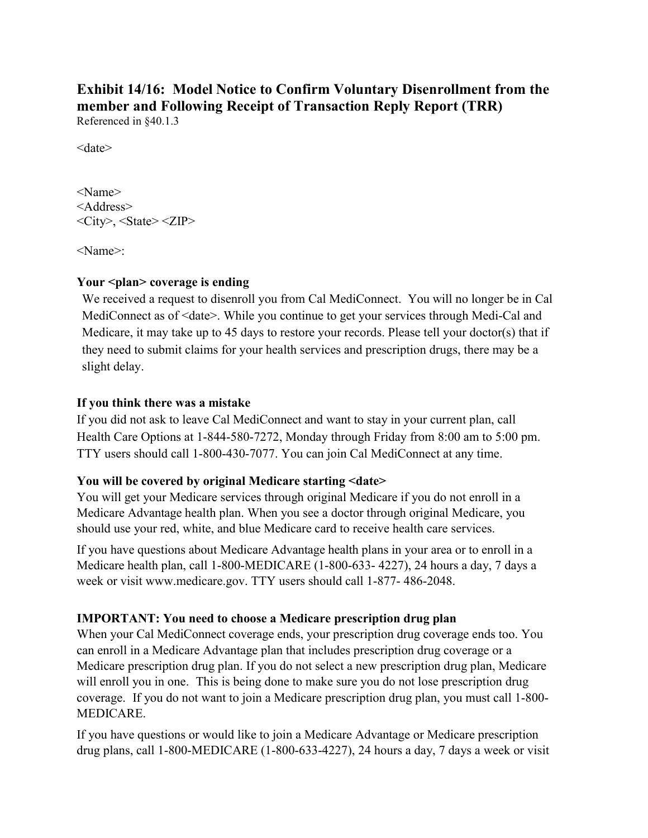# **Exhibit 14/16: Model Notice to Confirm Voluntary Disenrollment from the member and Following Receipt of Transaction Reply Report (TRR)**

Referenced in §40.1.3

<date>

<Name> <Address>  $\langle City\rangle$ ,  $\langle State\rangle \langle ZIP\rangle$ 

<Name>:

## **Your <plan> coverage is ending**

We received a request to disenroll you from Cal MediConnect. You will no longer be in Cal MediConnect as of <date>. While you continue to get your services through Medi-Cal and Medicare, it may take up to 45 days to restore your records. Please tell your doctor(s) that if they need to submit claims for your health services and prescription drugs, there may be a slight delay.

## **If you think there was a mistake**

If you did not ask to leave Cal MediConnect and want to stay in your current plan, call Health Care Options at 1-844-580-7272, Monday through Friday from 8:00 am to 5:00 pm. TTY users should call 1-800-430-7077. You can join Cal MediConnect at any time.

## **You will be covered by original Medicare starting <date>**

You will get your Medicare services through original Medicare if you do not enroll in a Medicare Advantage health plan. When you see a doctor through original Medicare, you should use your red, white, and blue Medicare card to receive health care services.

If you have questions about Medicare Advantage health plans in your area or to enroll in a Medicare health plan, call 1-800-MEDICARE (1-800-633- 4227), 24 hours a day, 7 days a week or visit www.medicare.gov. TTY users should call 1-877- 486-2048.

## **IMPORTANT: You need to choose a Medicare prescription drug plan**

When your Cal MediConnect coverage ends, your prescription drug coverage ends too. You can enroll in a Medicare Advantage plan that includes prescription drug coverage or a Medicare prescription drug plan. If you do not select a new prescription drug plan, Medicare will enroll you in one. This is being done to make sure you do not lose prescription drug coverage. If you do not want to join a Medicare prescription drug plan, you must call 1-800- MEDICARE.

If you have questions or would like to join a Medicare Advantage or Medicare prescription drug plans, call 1-800-MEDICARE (1-800-633-4227), 24 hours a day, 7 days a week or visit